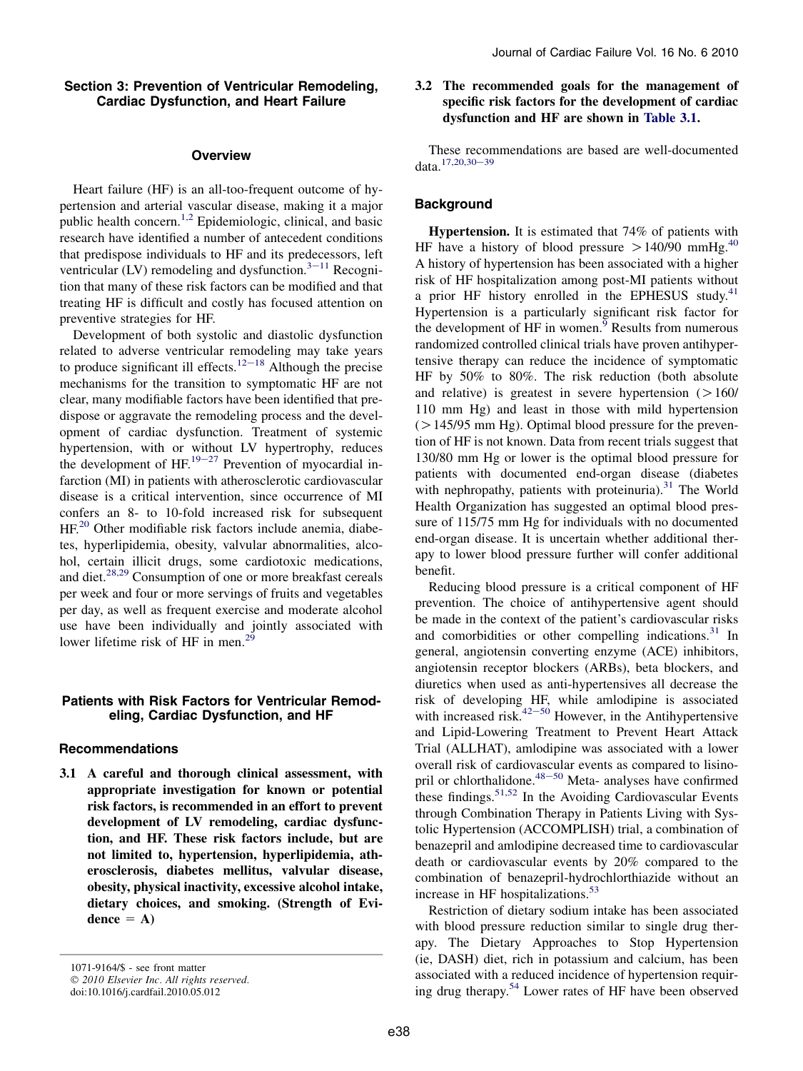### Section 3: Prevention of Ventricular Remodeling, Cardiac Dysfunction, and Heart Failure

#### **Overview**

Heart failure (HF) is an all-too-frequent outcome of hypertension and arterial vascular disease, making it a major public health concern.<sup>[1,2](#page-3-0)</sup> Epidemiologic, clinical, and basic research have identified a number of antecedent conditions that predispose individuals to HF and its predecessors, left ventricular (LV) remodeling and dysfunction. $3<sup>–11</sup>$  $3<sup>–11</sup>$  $3<sup>–11</sup>$  Recognition that many of these risk factors can be modified and that treating HF is difficult and costly has focused attention on preventive strategies for HF.

Development of both systolic and diastolic dysfunction related to adverse ventricular remodeling may take years to produce significant ill effects.<sup>[12](#page-3-0)–18</sup> Although the precise mechanisms for the transition to symptomatic HF are not clear, many modifiable factors have been identified that predispose or aggravate the remodeling process and the development of cardiac dysfunction. Treatment of systemic hypertension, with or without LV hypertrophy, reduces the development of  $HF^{19-27}$  $HF^{19-27}$  $HF^{19-27}$  Prevention of myocardial infarction (MI) in patients with atherosclerotic cardiovascular disease is a critical intervention, since occurrence of MI confers an 8- to 10-fold increased risk for subsequent HF.<sup>[20](#page-3-0)</sup> Other modifiable risk factors include anemia, diabetes, hyperlipidemia, obesity, valvular abnormalities, alcohol, certain illicit drugs, some cardiotoxic medications, and diet.<sup>[28,29](#page-4-0)</sup> Consumption of one or more breakfast cereals per week and four or more servings of fruits and vegetables per day, as well as frequent exercise and moderate alcohol use have been individually and jointly associated with lower lifetime risk of HF in men.<sup>[29](#page-4-0)</sup>

# Patients with Risk Factors for Ventricular Remodeling, Cardiac Dysfunction, and HF

#### Recommendations

3.1 A careful and thorough clinical assessment, with appropriate investigation for known or potential risk factors, is recommended in an effort to prevent development of LV remodeling, cardiac dysfunction, and HF. These risk factors include, but are not limited to, hypertension, hyperlipidemia, atherosclerosis, diabetes mellitus, valvular disease, obesity, physical inactivity, excessive alcohol intake, dietary choices, and smoking. (Strength of Evi $dence = A$ )

1071-9164/\$ - see front matter © 2010 Elsevier Inc. All rights reserved. doi:10.1016/j.cardfail.2010.05.012

# 3.2 The recommended goals for the management of specific risk factors for the development of cardiac dysfunction and HF are shown in [Table 3.1.](#page-1-0)

These recommendations are based are well-documented data.<sup>[17,20,30](#page-3-0)-39</sup>

### **Background**

Hypertension. It is estimated that 74% of patients with HF have a history of blood pressure  $>140/90$  $>140/90$  $>140/90$  mmHg.<sup>40</sup> A history of hypertension has been associated with a higher risk of HF hospitalization among post-MI patients without a prior HF history enrolled in the EPHESUS study. $41$ Hypertension is a particularly significant risk factor for the development of HF in women.<sup>[9](#page-3-0)</sup> Results from numerous randomized controlled clinical trials have proven antihypertensive therapy can reduce the incidence of symptomatic HF by 50% to 80%. The risk reduction (both absolute and relative) is greatest in severe hypertension  $(>160/$ 110 mm Hg) and least in those with mild hypertension  $(>145/95$  mm Hg). Optimal blood pressure for the prevention of HF is not known. Data from recent trials suggest that 130/80 mm Hg or lower is the optimal blood pressure for patients with documented end-organ disease (diabetes with nephropathy, patients with proteinuria). $31$  The World Health Organization has suggested an optimal blood pressure of 115/75 mm Hg for individuals with no documented end-organ disease. It is uncertain whether additional therapy to lower blood pressure further will confer additional benefit.

Reducing blood pressure is a critical component of HF prevention. The choice of antihypertensive agent should be made in the context of the patient's cardiovascular risks and comorbidities or other compelling indications.<sup>[31](#page-4-0)</sup> In general, angiotensin converting enzyme (ACE) inhibitors, angiotensin receptor blockers (ARBs), beta blockers, and diuretics when used as anti-hypertensives all decrease the risk of developing HF, while amlodipine is associated with increased risk. $42-50$  $42-50$  However, in the Antihypertensive and Lipid-Lowering Treatment to Prevent Heart Attack Trial (ALLHAT), amlodipine was associated with a lower overall risk of cardiovascular events as compared to lisino-pril or chlorthalidone.<sup>[48](#page-4-0)-50</sup> Meta- analyses have confirmed these findings.<sup>[51,52](#page-4-0)</sup> In the Avoiding Cardiovascular Events through Combination Therapy in Patients Living with Systolic Hypertension (ACCOMPLISH) trial, a combination of benazepril and amlodipine decreased time to cardiovascular death or cardiovascular events by 20% compared to the combination of benazepril-hydrochlorthiazide without an increase in HF hospitalizations.<sup>[53](#page-4-0)</sup>

Restriction of dietary sodium intake has been associated with blood pressure reduction similar to single drug therapy. The Dietary Approaches to Stop Hypertension (ie, DASH) diet, rich in potassium and calcium, has been associated with a reduced incidence of hypertension requir-ing drug therapy.<sup>[54](#page-4-0)</sup> Lower rates of HF have been observed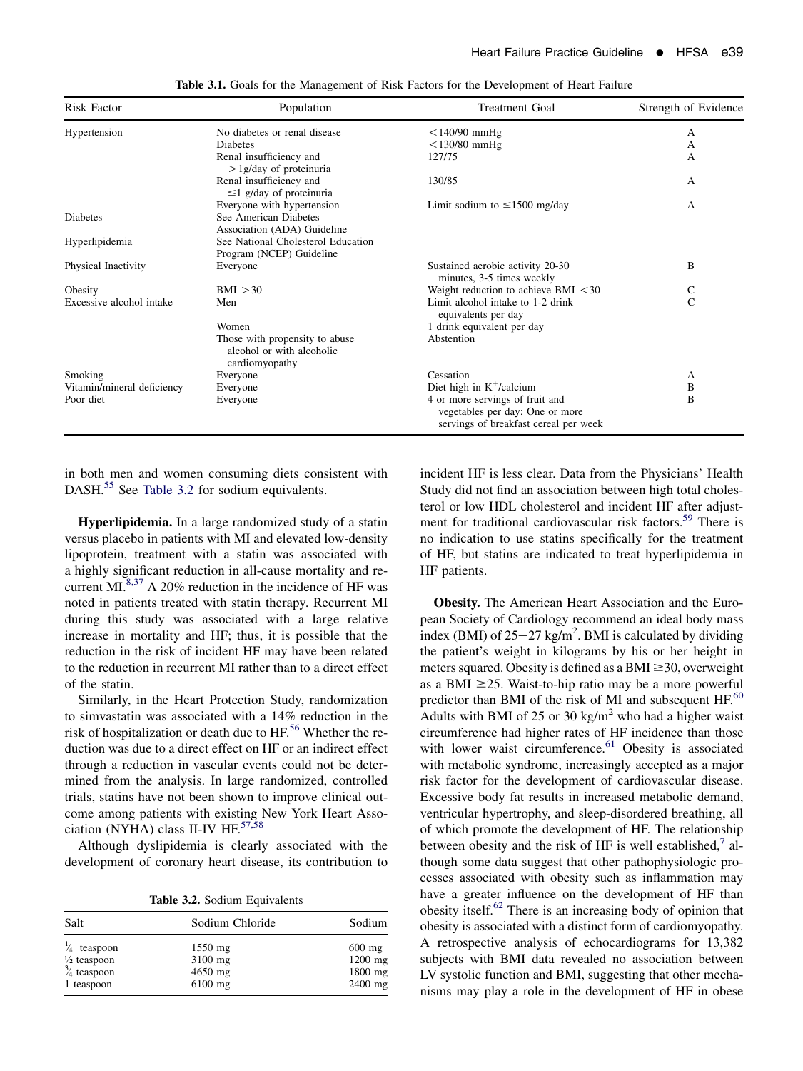<span id="page-1-0"></span>

| Risk Factor                | Population                                                                    | <b>Treatment Goal</b>                                                                                       | Strength of Evidence |
|----------------------------|-------------------------------------------------------------------------------|-------------------------------------------------------------------------------------------------------------|----------------------|
| Hypertension               | No diabetes or renal disease                                                  | $<$ 140/90 mmHg                                                                                             | А                    |
|                            | <b>Diabetes</b>                                                               | $<$ 130/80 mmHg                                                                                             | А                    |
|                            | Renal insufficiency and<br>$>$ 1g/day of proteinuria                          | 127/75                                                                                                      | A                    |
|                            | Renal insufficiency and<br>$\leq$ 1 g/day of proteinuria                      | 130/85                                                                                                      | A                    |
|                            | Everyone with hypertension                                                    | Limit sodium to $\leq$ 1500 mg/day                                                                          | A                    |
| Diabetes                   | See American Diabetes<br>Association (ADA) Guideline                          |                                                                                                             |                      |
| Hyperlipidemia             | See National Cholesterol Education                                            |                                                                                                             |                      |
|                            | Program (NCEP) Guideline                                                      |                                                                                                             |                      |
| Physical Inactivity        | Everyone                                                                      | Sustained aerobic activity 20-30<br>minutes, 3-5 times weekly                                               | B                    |
| Obesity                    | BMI > 30                                                                      | Weight reduction to achieve BMI $\leq 30$                                                                   | C                    |
| Excessive alcohol intake   | Men                                                                           | Limit alcohol intake to 1-2 drink<br>equivalents per day                                                    | C                    |
|                            | Women                                                                         | 1 drink equivalent per day                                                                                  |                      |
|                            | Those with propensity to abuse<br>alcohol or with alcoholic<br>cardiomyopathy | Abstention                                                                                                  |                      |
| Smoking                    | Everyone                                                                      | Cessation                                                                                                   | A                    |
| Vitamin/mineral deficiency | Everyone                                                                      | Diet high in $K^+$ /calcium                                                                                 | В                    |
| Poor diet                  | Everyone                                                                      | 4 or more servings of fruit and<br>vegetables per day; One or more<br>servings of breakfast cereal per week | B                    |

Table 3.1. Goals for the Management of Risk Factors for the Development of Heart Failure

in both men and women consuming diets consistent with DASH.<sup>[55](#page-4-0)</sup> See Table 3.2 for sodium equivalents.

Hyperlipidemia. In a large randomized study of a statin versus placebo in patients with MI and elevated low-density lipoprotein, treatment with a statin was associated with a highly significant reduction in all-cause mortality and recurrent MI. $8,37$  A 20% reduction in the incidence of HF was noted in patients treated with statin therapy. Recurrent MI during this study was associated with a large relative increase in mortality and HF; thus, it is possible that the reduction in the risk of incident HF may have been related to the reduction in recurrent MI rather than to a direct effect of the statin.

Similarly, in the Heart Protection Study, randomization to simvastatin was associated with a 14% reduction in the risk of hospitalization or death due to HF.<sup>[56](#page-4-0)</sup> Whether the reduction was due to a direct effect on HF or an indirect effect through a reduction in vascular events could not be determined from the analysis. In large randomized, controlled trials, statins have not been shown to improve clinical outcome among patients with existing New York Heart Association (NYHA) class II-IV HF. $57,58$ 

Although dyslipidemia is clearly associated with the development of coronary heart disease, its contribution to

Table 3.2. Sodium Equivalents

| Salt                   | Sodium Chloride | Sodium    |
|------------------------|-----------------|-----------|
| teaspoon               | $1550$ mg       | $600$ mg  |
| $\frac{1}{2}$ teaspoon | 3100 mg         | $1200$ mg |
| $\frac{3}{4}$ teaspoon | 4650 mg         | 1800 mg   |
| 1 teaspoon             | $6100$ mg       | 2400 mg   |

incident HF is less clear. Data from the Physicians' Health Study did not find an association between high total cholesterol or low HDL cholesterol and incident HF after adjustment for traditional cardiovascular risk factors.<sup>59</sup> There is no indication to use statins specifically for the treatment of HF, but statins are indicated to treat hyperlipidemia in HF patients.

Obesity. The American Heart Association and the European Society of Cardiology recommend an ideal body mass index (BMI) of  $25-27$  kg/m<sup>2</sup>. BMI is calculated by dividing the patient's weight in kilograms by his or her height in meters squared. Obesity is defined as a BMI  $\geq$ 30, overweight as a BMI  $\geq$ 25. Waist-to-hip ratio may be a more powerful predictor than BMI of the risk of MI and subsequent HF.<sup>60</sup> Adults with BMI of 25 or 30 kg/m<sup>2</sup> who had a higher waist circumference had higher rates of HF incidence than those with lower waist circumference.<sup>[61](#page-5-0)</sup> Obesity is associated with metabolic syndrome, increasingly accepted as a major risk factor for the development of cardiovascular disease. Excessive body fat results in increased metabolic demand, ventricular hypertrophy, and sleep-disordered breathing, all of which promote the development of HF. The relationship between obesity and the risk of HF is well established, $7$  although some data suggest that other pathophysiologic processes associated with obesity such as inflammation may have a greater influence on the development of HF than obesity itself. $62$  There is an increasing body of opinion that obesity is associated with a distinct form of cardiomyopathy. A retrospective analysis of echocardiograms for 13,382 subjects with BMI data revealed no association between LV systolic function and BMI, suggesting that other mechanisms may play a role in the development of HF in obese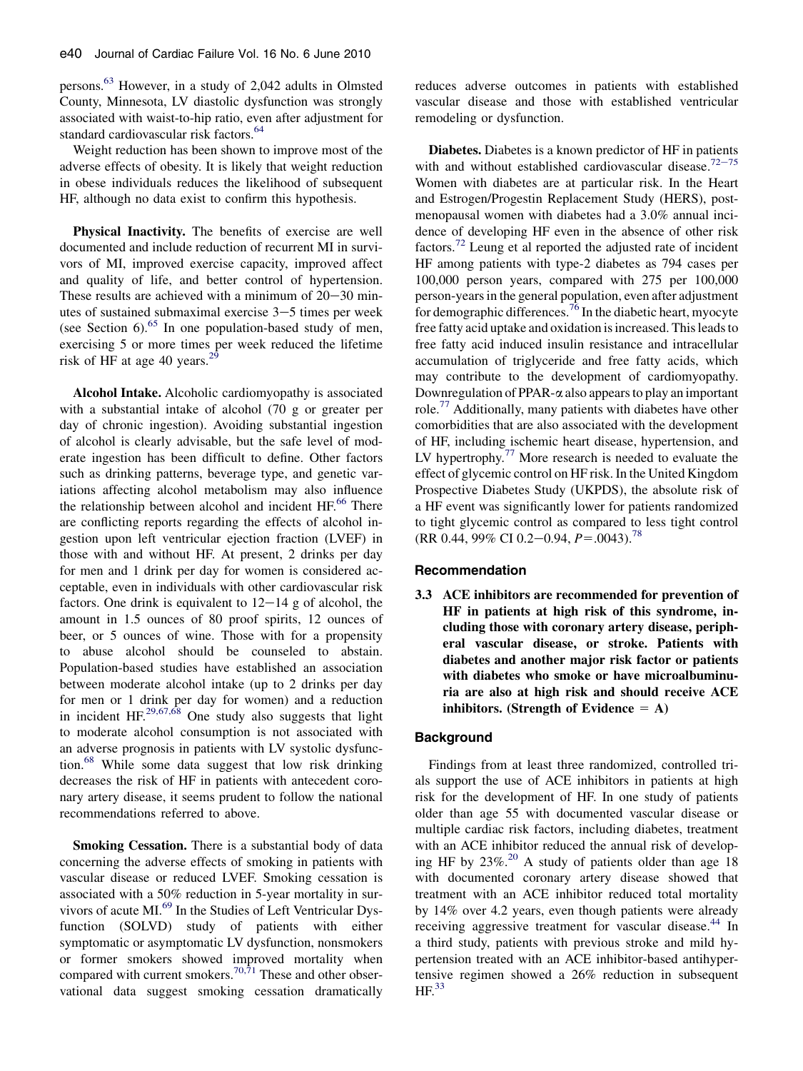persons.[63](#page-5-0) However, in a study of 2,042 adults in Olmsted County, Minnesota, LV diastolic dysfunction was strongly associated with waist-to-hip ratio, even after adjustment for standard cardiovascular risk factors.<sup>[64](#page-5-0)</sup>

Weight reduction has been shown to improve most of the adverse effects of obesity. It is likely that weight reduction in obese individuals reduces the likelihood of subsequent HF, although no data exist to confirm this hypothesis.

Physical Inactivity. The benefits of exercise are well documented and include reduction of recurrent MI in survivors of MI, improved exercise capacity, improved affect and quality of life, and better control of hypertension. These results are achieved with a minimum of  $20-30$  minutes of sustained submaximal exercise  $3-5$  times per week (see Section  $6$ ).<sup>[65](#page-5-0)</sup> In one population-based study of men, exercising 5 or more times per week reduced the lifetime risk of HF at age 40 years. $^{29}$  $^{29}$  $^{29}$ 

Alcohol Intake. Alcoholic cardiomyopathy is associated with a substantial intake of alcohol (70 g or greater per day of chronic ingestion). Avoiding substantial ingestion of alcohol is clearly advisable, but the safe level of moderate ingestion has been difficult to define. Other factors such as drinking patterns, beverage type, and genetic variations affecting alcohol metabolism may also influence the relationship between alcohol and incident HF.<sup>[66](#page-5-0)</sup> There are conflicting reports regarding the effects of alcohol ingestion upon left ventricular ejection fraction (LVEF) in those with and without HF. At present, 2 drinks per day for men and 1 drink per day for women is considered acceptable, even in individuals with other cardiovascular risk factors. One drink is equivalent to  $12-14$  g of alcohol, the amount in 1.5 ounces of 80 proof spirits, 12 ounces of beer, or 5 ounces of wine. Those with for a propensity to abuse alcohol should be counseled to abstain. Population-based studies have established an association between moderate alcohol intake (up to 2 drinks per day for men or 1 drink per day for women) and a reduction in incident HF. $29,67,68$  One study also suggests that light to moderate alcohol consumption is not associated with an adverse prognosis in patients with LV systolic dysfunction.[68](#page-5-0) While some data suggest that low risk drinking decreases the risk of HF in patients with antecedent coronary artery disease, it seems prudent to follow the national recommendations referred to above.

Smoking Cessation. There is a substantial body of data concerning the adverse effects of smoking in patients with vascular disease or reduced LVEF. Smoking cessation is associated with a 50% reduction in 5-year mortality in sur-vivors of acute MI.<sup>[69](#page-5-0)</sup> In the Studies of Left Ventricular Dysfunction (SOLVD) study of patients with either symptomatic or asymptomatic LV dysfunction, nonsmokers or former smokers showed improved mortality when compared with current smokers.<sup>[70,71](#page-5-0)</sup> These and other observational data suggest smoking cessation dramatically

reduces adverse outcomes in patients with established vascular disease and those with established ventricular remodeling or dysfunction.

Diabetes. Diabetes is a known predictor of HF in patients with and without established cardiovascular disease.<sup>[72](#page-5-0)-75</sup> Women with diabetes are at particular risk. In the Heart and Estrogen/Progestin Replacement Study (HERS), postmenopausal women with diabetes had a 3.0% annual incidence of developing HF even in the absence of other risk factors.[72](#page-5-0) Leung et al reported the adjusted rate of incident HF among patients with type-2 diabetes as 794 cases per 100,000 person years, compared with 275 per 100,000 person-years in the general population, even after adjustment for demographic differences.<sup>[76](#page-5-0)</sup> In the diabetic heart, myocyte free fatty acid uptake and oxidation is increased. This leads to free fatty acid induced insulin resistance and intracellular accumulation of triglyceride and free fatty acids, which may contribute to the development of cardiomyopathy. Downregulation of PPAR- $\alpha$  also appears to play an important role.<sup>[77](#page-5-0)</sup> Additionally, many patients with diabetes have other comorbidities that are also associated with the development of HF, including ischemic heart disease, hypertension, and LV hypertrophy.<sup>[77](#page-5-0)</sup> More research is needed to evaluate the effect of glycemic control on HF risk. In the United Kingdom Prospective Diabetes Study (UKPDS), the absolute risk of a HF event was significantly lower for patients randomized to tight glycemic control as compared to less tight control (RR 0.44, 99% CI 0.2–0.94,  $P = .0043$ ).<sup>[78](#page-5-0)</sup>

#### Recommendation

3.3 ACE inhibitors are recommended for prevention of HF in patients at high risk of this syndrome, including those with coronary artery disease, peripheral vascular disease, or stroke. Patients with diabetes and another major risk factor or patients with diabetes who smoke or have microalbuminuria are also at high risk and should receive ACE inhibitors. (Strength of Evidence  $= A$ )

### **Background**

Findings from at least three randomized, controlled trials support the use of ACE inhibitors in patients at high risk for the development of HF. In one study of patients older than age 55 with documented vascular disease or multiple cardiac risk factors, including diabetes, treatment with an ACE inhibitor reduced the annual risk of developing HF by  $23\%$ .<sup>[20](#page-3-0)</sup> A study of patients older than age 18 with documented coronary artery disease showed that treatment with an ACE inhibitor reduced total mortality by 14% over 4.2 years, even though patients were already receiving aggressive treatment for vascular disease.<sup>[44](#page-4-0)</sup> In a third study, patients with previous stroke and mild hypertension treated with an ACE inhibitor-based antihypertensive regimen showed a 26% reduction in subsequent  $HF<sup>33</sup>$  $HF<sup>33</sup>$  $HF<sup>33</sup>$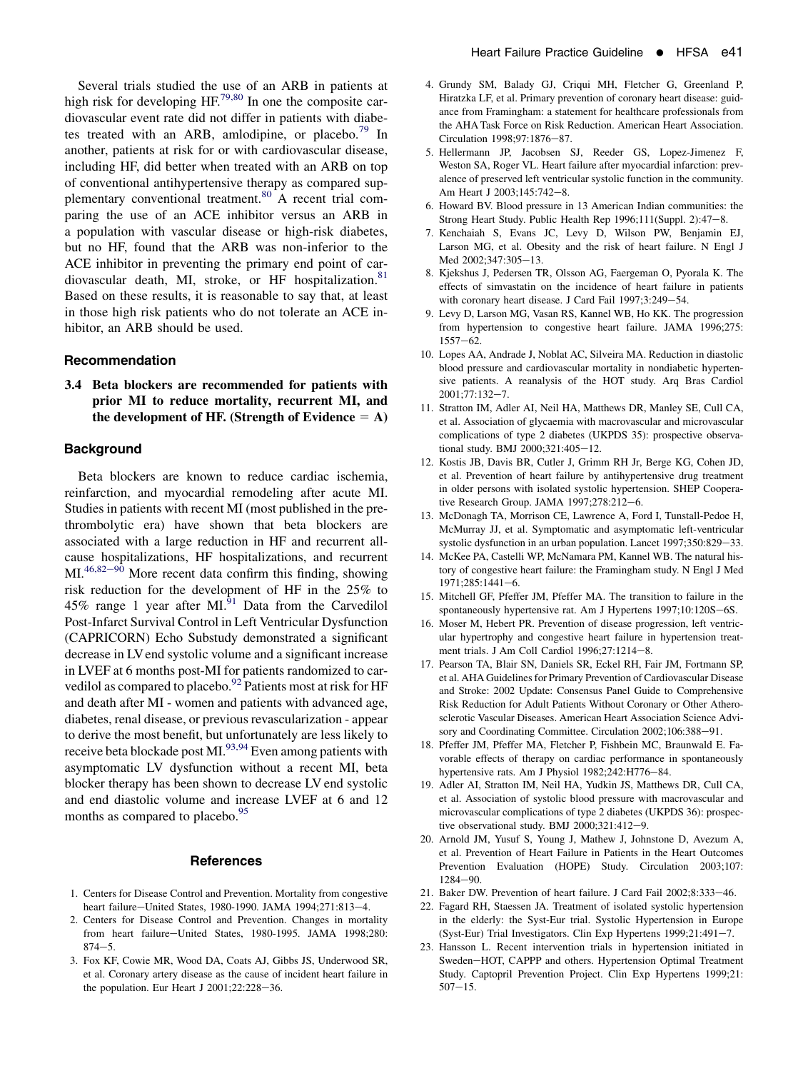<span id="page-3-0"></span>Several trials studied the use of an ARB in patients at high risk for developing  $HF^{79,80}$  $HF^{79,80}$  $HF^{79,80}$  In one the composite cardiovascular event rate did not differ in patients with diabe-tes treated with an ARB, amlodipine, or placebo.<sup>[79](#page-5-0)</sup> In another, patients at risk for or with cardiovascular disease, including HF, did better when treated with an ARB on top of conventional antihypertensive therapy as compared sup-plementary conventional treatment.<sup>[80](#page-5-0)</sup> A recent trial comparing the use of an ACE inhibitor versus an ARB in a population with vascular disease or high-risk diabetes, but no HF, found that the ARB was non-inferior to the ACE inhibitor in preventing the primary end point of car-diovascular death, MI, stroke, or HF hospitalization.<sup>[81](#page-5-0)</sup> Based on these results, it is reasonable to say that, at least in those high risk patients who do not tolerate an ACE inhibitor, an ARB should be used.

### Recommendation

3.4 Beta blockers are recommended for patients with prior MI to reduce mortality, recurrent MI, and the development of HF. (Strength of Evidence  $= A$ )

# **Background**

Beta blockers are known to reduce cardiac ischemia, reinfarction, and myocardial remodeling after acute MI. Studies in patients with recent MI (most published in the prethrombolytic era) have shown that beta blockers are associated with a large reduction in HF and recurrent allcause hospitalizations, HF hospitalizations, and recurrent  $ML^{46,82-90}$  More recent data confirm this finding, showing risk reduction for the development of HF in the 25% to 45% range 1 year after MI. $^{91}$  $^{91}$  $^{91}$  Data from the Carvedilol Post-Infarct Survival Control in Left Ventricular Dysfunction (CAPRICORN) Echo Substudy demonstrated a significant decrease in LV end systolic volume and a significant increase in LVEF at 6 months post-MI for patients randomized to carvedilol as compared to placebo.<sup>92</sup> Patients most at risk for HF and death after MI - women and patients with advanced age, diabetes, renal disease, or previous revascularization - appear to derive the most benefit, but unfortunately are less likely to receive beta blockade post MI.<sup>93,94</sup> Even among patients with asymptomatic LV dysfunction without a recent MI, beta blocker therapy has been shown to decrease LV end systolic and end diastolic volume and increase LVEF at 6 and 12 months as compared to placebo.<sup>95</sup>

### **References**

- 1. Centers for Disease Control and Prevention. Mortality from congestive heart failure-United States, 1980-1990. JAMA 1994;271:813-4.
- 2. Centers for Disease Control and Prevention. Changes in mortality from heart failure-United States, 1980-1995. JAMA 1998;280:  $874 - 5.$
- 3. Fox KF, Cowie MR, Wood DA, Coats AJ, Gibbs JS, Underwood SR, et al. Coronary artery disease as the cause of incident heart failure in the population. Eur Heart J  $2001;22:228-36$ .
- 4. Grundy SM, Balady GJ, Criqui MH, Fletcher G, Greenland P, Hiratzka LF, et al. Primary prevention of coronary heart disease: guidance from Framingham: a statement for healthcare professionals from the AHA Task Force on Risk Reduction. American Heart Association. Circulation 1998;97:1876-87.
- 5. Hellermann JP, Jacobsen SJ, Reeder GS, Lopez-Jimenez F, Weston SA, Roger VL. Heart failure after myocardial infarction: prevalence of preserved left ventricular systolic function in the community. Am Heart J 2003:145:742-8.
- 6. Howard BV. Blood pressure in 13 American Indian communities: the Strong Heart Study. Public Health Rep 1996;111(Suppl. 2):47-8.
- 7. Kenchaiah S, Evans JC, Levy D, Wilson PW, Benjamin EJ, Larson MG, et al. Obesity and the risk of heart failure. N Engl J Med 2002;347:305-13.
- 8. Kjekshus J, Pedersen TR, Olsson AG, Faergeman O, Pyorala K. The effects of simvastatin on the incidence of heart failure in patients with coronary heart disease. J Card Fail  $1997;3:249-54$ .
- 9. Levy D, Larson MG, Vasan RS, Kannel WB, Ho KK. The progression from hypertension to congestive heart failure. JAMA 1996;275:  $1557 - 62$ .
- 10. Lopes AA, Andrade J, Noblat AC, Silveira MA. Reduction in diastolic blood pressure and cardiovascular mortality in nondiabetic hypertensive patients. A reanalysis of the HOT study. Arq Bras Cardiol 2001;77:132-7.
- 11. Stratton IM, Adler AI, Neil HA, Matthews DR, Manley SE, Cull CA, et al. Association of glycaemia with macrovascular and microvascular complications of type 2 diabetes (UKPDS 35): prospective observational study. BMJ 2000;321:405-12.
- 12. Kostis JB, Davis BR, Cutler J, Grimm RH Jr, Berge KG, Cohen JD, et al. Prevention of heart failure by antihypertensive drug treatment in older persons with isolated systolic hypertension. SHEP Cooperative Research Group. JAMA  $1997;278:212-6$ .
- 13. McDonagh TA, Morrison CE, Lawrence A, Ford I, Tunstall-Pedoe H, McMurray JJ, et al. Symptomatic and asymptomatic left-ventricular systolic dysfunction in an urban population. Lancet  $1997;350:829-33$ .
- 14. McKee PA, Castelli WP, McNamara PM, Kannel WB. The natural history of congestive heart failure: the Framingham study. N Engl J Med 1971;285:1441-6.
- 15. Mitchell GF, Pfeffer JM, Pfeffer MA. The transition to failure in the spontaneously hypertensive rat. Am J Hypertens 1997;10:120S-6S.
- 16. Moser M, Hebert PR. Prevention of disease progression, left ventricular hypertrophy and congestive heart failure in hypertension treatment trials. J Am Coll Cardiol 1996;27:1214-8.
- 17. Pearson TA, Blair SN, Daniels SR, Eckel RH, Fair JM, Fortmann SP, et al. AHA Guidelines for Primary Prevention of Cardiovascular Disease and Stroke: 2002 Update: Consensus Panel Guide to Comprehensive Risk Reduction for Adult Patients Without Coronary or Other Atherosclerotic Vascular Diseases. American Heart Association Science Advisory and Coordinating Committee. Circulation 2002;106:388-91.
- 18. Pfeffer JM, Pfeffer MA, Fletcher P, Fishbein MC, Braunwald E. Favorable effects of therapy on cardiac performance in spontaneously hypertensive rats. Am J Physiol 1982;242:H776-84.
- 19. Adler AI, Stratton IM, Neil HA, Yudkin JS, Matthews DR, Cull CA, et al. Association of systolic blood pressure with macrovascular and microvascular complications of type 2 diabetes (UKPDS 36): prospective observational study. BMJ 2000;321:412-9.
- 20. Arnold JM, Yusuf S, Young J, Mathew J, Johnstone D, Avezum A, et al. Prevention of Heart Failure in Patients in the Heart Outcomes Prevention Evaluation (HOPE) Study. Circulation 2003;107:  $1284 - 90.$
- 21. Baker DW. Prevention of heart failure. J Card Fail 2002;8:333-46.
- 22. Fagard RH, Staessen JA. Treatment of isolated systolic hypertension in the elderly: the Syst-Eur trial. Systolic Hypertension in Europe (Syst-Eur) Trial Investigators. Clin Exp Hypertens 1999;21:491-7.
- 23. Hansson L. Recent intervention trials in hypertension initiated in Sweden-HOT, CAPPP and others. Hypertension Optimal Treatment Study. Captopril Prevention Project. Clin Exp Hypertens 1999;21:  $507 - 15$ .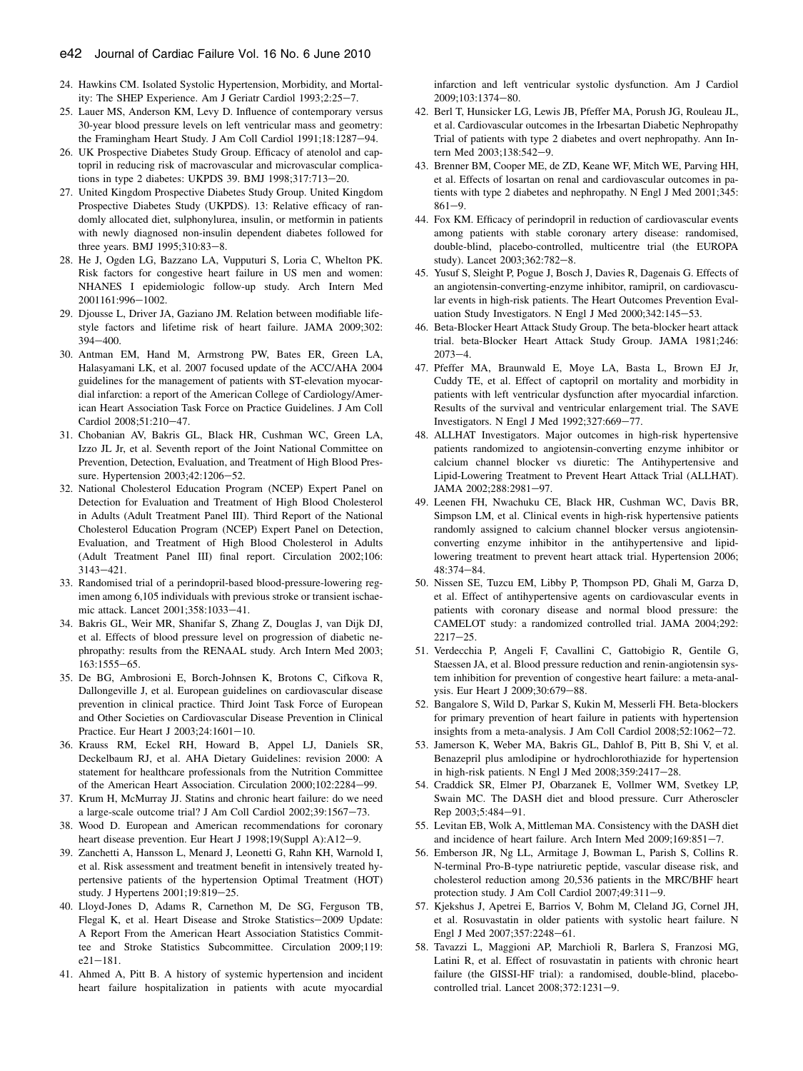- <span id="page-4-0"></span>24. Hawkins CM. Isolated Systolic Hypertension, Morbidity, and Mortality: The SHEP Experience. Am J Geriatr Cardiol 1993;2:25-7.
- 25. Lauer MS, Anderson KM, Levy D. Influence of contemporary versus 30-year blood pressure levels on left ventricular mass and geometry: the Framingham Heart Study. J Am Coll Cardiol 1991;18:1287-94.
- 26. UK Prospective Diabetes Study Group. Efficacy of atenolol and captopril in reducing risk of macrovascular and microvascular complications in type 2 diabetes: UKPDS 39. BMJ 1998;317:713-20.
- 27. United Kingdom Prospective Diabetes Study Group. United Kingdom Prospective Diabetes Study (UKPDS). 13: Relative efficacy of randomly allocated diet, sulphonylurea, insulin, or metformin in patients with newly diagnosed non-insulin dependent diabetes followed for three years. BMJ 1995;310:83-8.
- 28. He J, Ogden LG, Bazzano LA, Vupputuri S, Loria C, Whelton PK. Risk factors for congestive heart failure in US men and women: NHANES I epidemiologic follow-up study. Arch Intern Med 2001161:996-1002.
- 29. Djousse L, Driver JA, Gaziano JM. Relation between modifiable lifestyle factors and lifetime risk of heart failure. JAMA 2009;302:  $394 - 400$ .
- 30. Antman EM, Hand M, Armstrong PW, Bates ER, Green LA, Halasyamani LK, et al. 2007 focused update of the ACC/AHA 2004 guidelines for the management of patients with ST-elevation myocardial infarction: a report of the American College of Cardiology/American Heart Association Task Force on Practice Guidelines. J Am Coll Cardiol 2008;51:210-47.
- 31. Chobanian AV, Bakris GL, Black HR, Cushman WC, Green LA, Izzo JL Jr, et al. Seventh report of the Joint National Committee on Prevention, Detection, Evaluation, and Treatment of High Blood Pressure. Hypertension 2003;42:1206-52.
- 32. National Cholesterol Education Program (NCEP) Expert Panel on Detection for Evaluation and Treatment of High Blood Cholesterol in Adults (Adult Treatment Panel III). Third Report of the National Cholesterol Education Program (NCEP) Expert Panel on Detection, Evaluation, and Treatment of High Blood Cholesterol in Adults (Adult Treatment Panel III) final report. Circulation 2002;106:  $3143 - 421$ .
- 33. Randomised trial of a perindopril-based blood-pressure-lowering regimen among 6,105 individuals with previous stroke or transient ischaemic attack. Lancet 2001;358:1033-41.
- 34. Bakris GL, Weir MR, Shanifar S, Zhang Z, Douglas J, van Dijk DJ, et al. Effects of blood pressure level on progression of diabetic nephropathy: results from the RENAAL study. Arch Intern Med 2003; 163:1555-65.
- 35. De BG, Ambrosioni E, Borch-Johnsen K, Brotons C, Cifkova R, Dallongeville J, et al. European guidelines on cardiovascular disease prevention in clinical practice. Third Joint Task Force of European and Other Societies on Cardiovascular Disease Prevention in Clinical Practice. Eur Heart J 2003;24:1601-10.
- 36. Krauss RM, Eckel RH, Howard B, Appel LJ, Daniels SR, Deckelbaum RJ, et al. AHA Dietary Guidelines: revision 2000: A statement for healthcare professionals from the Nutrition Committee of the American Heart Association. Circulation 2000;102:2284-99.
- 37. Krum H, McMurray JJ. Statins and chronic heart failure: do we need a large-scale outcome trial? J Am Coll Cardiol 2002;39:1567-73.
- 38. Wood D. European and American recommendations for coronary heart disease prevention. Eur Heart J 1998;19(Suppl A):A12-9.
- 39. Zanchetti A, Hansson L, Menard J, Leonetti G, Rahn KH, Warnold I, et al. Risk assessment and treatment benefit in intensively treated hypertensive patients of the hypertension Optimal Treatment (HOT) study. J Hypertens 2001;19:819-25.
- 40. Lloyd-Jones D, Adams R, Carnethon M, De SG, Ferguson TB, Flegal K, et al. Heart Disease and Stroke Statistics-2009 Update: A Report From the American Heart Association Statistics Committee and Stroke Statistics Subcommittee. Circulation 2009;119:  $e21 - 181.$
- 41. Ahmed A, Pitt B. A history of systemic hypertension and incident heart failure hospitalization in patients with acute myocardial

infarction and left ventricular systolic dysfunction. Am J Cardiol  $2009:103:1374-80.$ 

- 42. Berl T, Hunsicker LG, Lewis JB, Pfeffer MA, Porush JG, Rouleau JL, et al. Cardiovascular outcomes in the Irbesartan Diabetic Nephropathy Trial of patients with type 2 diabetes and overt nephropathy. Ann Intern Med 2003;138:542-9.
- 43. Brenner BM, Cooper ME, de ZD, Keane WF, Mitch WE, Parving HH, et al. Effects of losartan on renal and cardiovascular outcomes in patients with type 2 diabetes and nephropathy. N Engl J Med 2001;345:  $861 - 9.$
- 44. Fox KM. Efficacy of perindopril in reduction of cardiovascular events among patients with stable coronary artery disease: randomised, double-blind, placebo-controlled, multicentre trial (the EUROPA study). Lancet 2003;362:782-8.
- 45. Yusuf S, Sleight P, Pogue J, Bosch J, Davies R, Dagenais G. Effects of an angiotensin-converting-enzyme inhibitor, ramipril, on cardiovascular events in high-risk patients. The Heart Outcomes Prevention Evaluation Study Investigators. N Engl J Med 2000;342:145-53.
- 46. Beta-Blocker Heart Attack Study Group. The beta-blocker heart attack trial. beta-Blocker Heart Attack Study Group. JAMA 1981;246:  $2073 - 4$ .
- 47. Pfeffer MA, Braunwald E, Moye LA, Basta L, Brown EJ Jr, Cuddy TE, et al. Effect of captopril on mortality and morbidity in patients with left ventricular dysfunction after myocardial infarction. Results of the survival and ventricular enlargement trial. The SAVE Investigators. N Engl J Med 1992;327:669-77.
- 48. ALLHAT Investigators. Major outcomes in high-risk hypertensive patients randomized to angiotensin-converting enzyme inhibitor or calcium channel blocker vs diuretic: The Antihypertensive and Lipid-Lowering Treatment to Prevent Heart Attack Trial (ALLHAT). JAMA 2002;288:2981-97.
- 49. Leenen FH, Nwachuku CE, Black HR, Cushman WC, Davis BR, Simpson LM, et al. Clinical events in high-risk hypertensive patients randomly assigned to calcium channel blocker versus angiotensinconverting enzyme inhibitor in the antihypertensive and lipidlowering treatment to prevent heart attack trial. Hypertension 2006; 48:374-84.
- 50. Nissen SE, Tuzcu EM, Libby P, Thompson PD, Ghali M, Garza D, et al. Effect of antihypertensive agents on cardiovascular events in patients with coronary disease and normal blood pressure: the CAMELOT study: a randomized controlled trial. JAMA 2004;292:  $2217 - 25$ .
- 51. Verdecchia P, Angeli F, Cavallini C, Gattobigio R, Gentile G, Staessen JA, et al. Blood pressure reduction and renin-angiotensin system inhibition for prevention of congestive heart failure: a meta-analysis. Eur Heart J 2009;30:679-88.
- 52. Bangalore S, Wild D, Parkar S, Kukin M, Messerli FH. Beta-blockers for primary prevention of heart failure in patients with hypertension insights from a meta-analysis. J Am Coll Cardiol  $2008;52:1062-72$ .
- 53. Jamerson K, Weber MA, Bakris GL, Dahlof B, Pitt B, Shi V, et al. Benazepril plus amlodipine or hydrochlorothiazide for hypertension in high-risk patients. N Engl J Med  $2008;359:2417-28$ .
- 54. Craddick SR, Elmer PJ, Obarzanek E, Vollmer WM, Svetkey LP, Swain MC. The DASH diet and blood pressure. Curr Atheroscler  $Rep 2003; 5:484 - 91.$
- 55. Levitan EB, Wolk A, Mittleman MA. Consistency with the DASH diet and incidence of heart failure. Arch Intern Med  $2009;169:851-7$ .
- 56. Emberson JR, Ng LL, Armitage J, Bowman L, Parish S, Collins R. N-terminal Pro-B-type natriuretic peptide, vascular disease risk, and cholesterol reduction among 20,536 patients in the MRC/BHF heart protection study. J Am Coll Cardiol 2007;49:311-9.
- 57. Kjekshus J, Apetrei E, Barrios V, Bohm M, Cleland JG, Cornel JH, et al. Rosuvastatin in older patients with systolic heart failure. N Engl J Med 2007;357:2248-61.
- 58. Tavazzi L, Maggioni AP, Marchioli R, Barlera S, Franzosi MG, Latini R, et al. Effect of rosuvastatin in patients with chronic heart failure (the GISSI-HF trial): a randomised, double-blind, placebocontrolled trial. Lancet 2008;372:1231-9.